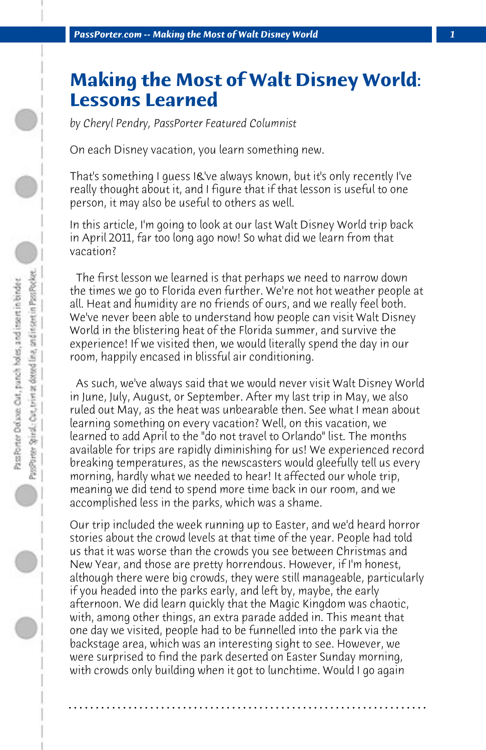## **Making the Most of Walt Disney World: Lessons Learned**

*by Cheryl Pendry, PassPorter Featured Columnist*

On each Disney vacation, you learn something new.

That's something I guess I&'ve always known, but it's only recently I've really thought about it, and I figure that if that lesson is useful to one person, it may also be useful to others as well.

In this article, I'm going to look at our last Walt Disney World trip back in April 2011, far too long ago now! So what did we learn from that vacation?

 The first lesson we learned is that perhaps we need to narrow down the times we go to Florida even further. We're not hot weather people at all. Heat and humidity are no friends of ours, and we really feel both. We've never been able to understand how people can visit Walt Disney World in the blistering heat of the Florida summer, and survive the experience! If we visited then, we would literally spend the day in our room, happily encased in blissful air conditioning.

 As such, we've always said that we would never visit Walt Disney World in June, July, August, or September. After my last trip in May, we also ruled out May, as the heat was unbearable then. See what I mean about learning something on every vacation? Well, on this vacation, we learned to add April to the "do not travel to Orlando" list. The months available for trips are rapidly diminishing for us! We experienced record breaking temperatures, as the newscasters would gleefully tell us every morning, hardly what we needed to hear! It affected our whole trip, meaning we did tend to spend more time back in our room, and we accomplished less in the parks, which was a shame.

Our trip included the week running up to Easter, and we'd heard horror stories about the crowd levels at that time of the year. People had told us that it was worse than the crowds you see between Christmas and New Year, and those are pretty horrendous. However, if I'm honest, although there were big crowds, they were still manageable, particularly if you headed into the parks early, and left by, maybe, the early afternoon. We did learn quickly that the Magic Kingdom was chaotic, with, among other things, an extra parade added in. This meant that one day we visited, people had to be funnelled into the park via the backstage area, which was an interesting sight to see. However, we were surprised to find the park deserted on Easter Sunday morning, with crowds only building when it got to lunchtime. Would I go again

**. . . . . . . . . . . . . . . . . . . . . . . . . . . . . . . . . . . . . . . . . . . . . . . . . . . . . . . . . . . . . . . . . .**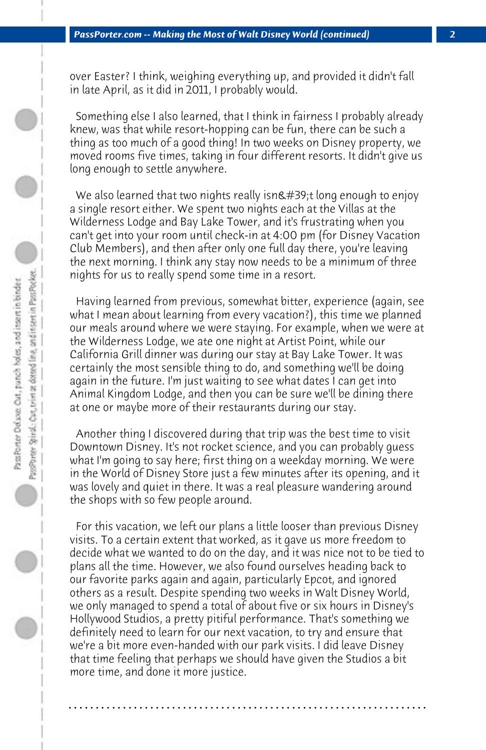over Easter? I think, weighing everything up, and provided it didn't fall in late April, as it did in 2011, I probably would.

 Something else I also learned, that I think in fairness I probably already knew, was that while resort-hopping can be fun, there can be such a thing as too much of a good thing! In two weeks on Disney property, we moved rooms five times, taking in four different resorts. It didn't give us long enough to settle anywhere.

We also learned that two nights really isn $\&\#39$ ;t long enough to enjoy a single resort either. We spent two nights each at the Villas at the Wilderness Lodge and Bay Lake Tower, and it's frustrating when you can't get into your room until check-in at 4:00 pm (for Disney Vacation Club Members), and then after only one full day there, you're leaving the next morning. I think any stay now needs to be a minimum of three nights for us to really spend some time in a resort.

 Having learned from previous, somewhat bitter, experience (again, see what I mean about learning from every vacation?), this time we planned our meals around where we were staying. For example, when we were at the Wilderness Lodge, we ate one night at Artist Point, while our California Grill dinner was during our stay at Bay Lake Tower. It was certainly the most sensible thing to do, and something we'll be doing again in the future. I'm just waiting to see what dates I can get into Animal Kingdom Lodge, and then you can be sure we'll be dining there at one or maybe more of their restaurants during our stay.

 Another thing I discovered during that trip was the best time to visit Downtown Disney. It's not rocket science, and you can probably guess what I'm going to say here; first thing on a weekday morning. We were in the World of Disney Store just a few minutes after its opening, and it was lovely and quiet in there. It was a real pleasure wandering around the shops with so few people around.

 For this vacation, we left our plans a little looser than previous Disney visits. To a certain extent that worked, as it gave us more freedom to decide what we wanted to do on the day, and it was nice not to be tied to plans all the time. However, we also found ourselves heading back to our favorite parks again and again, particularly Epcot, and ignored others as a result. Despite spending two weeks in Walt Disney World, we only managed to spend a total of about five or six hours in Disney's Hollywood Studios, a pretty pitiful performance. That's something we definitely need to learn for our next vacation, to try and ensure that we're a bit more even-handed with our park visits. I did leave Disney that time feeling that perhaps we should have given the Studios a bit more time, and done it more justice.

**. . . . . . . . . . . . . . . . . . . . . . . . . . . . . . . . . . . . . . . . . . . . . . . . . . . . . . . . . . . . . . . . . .**